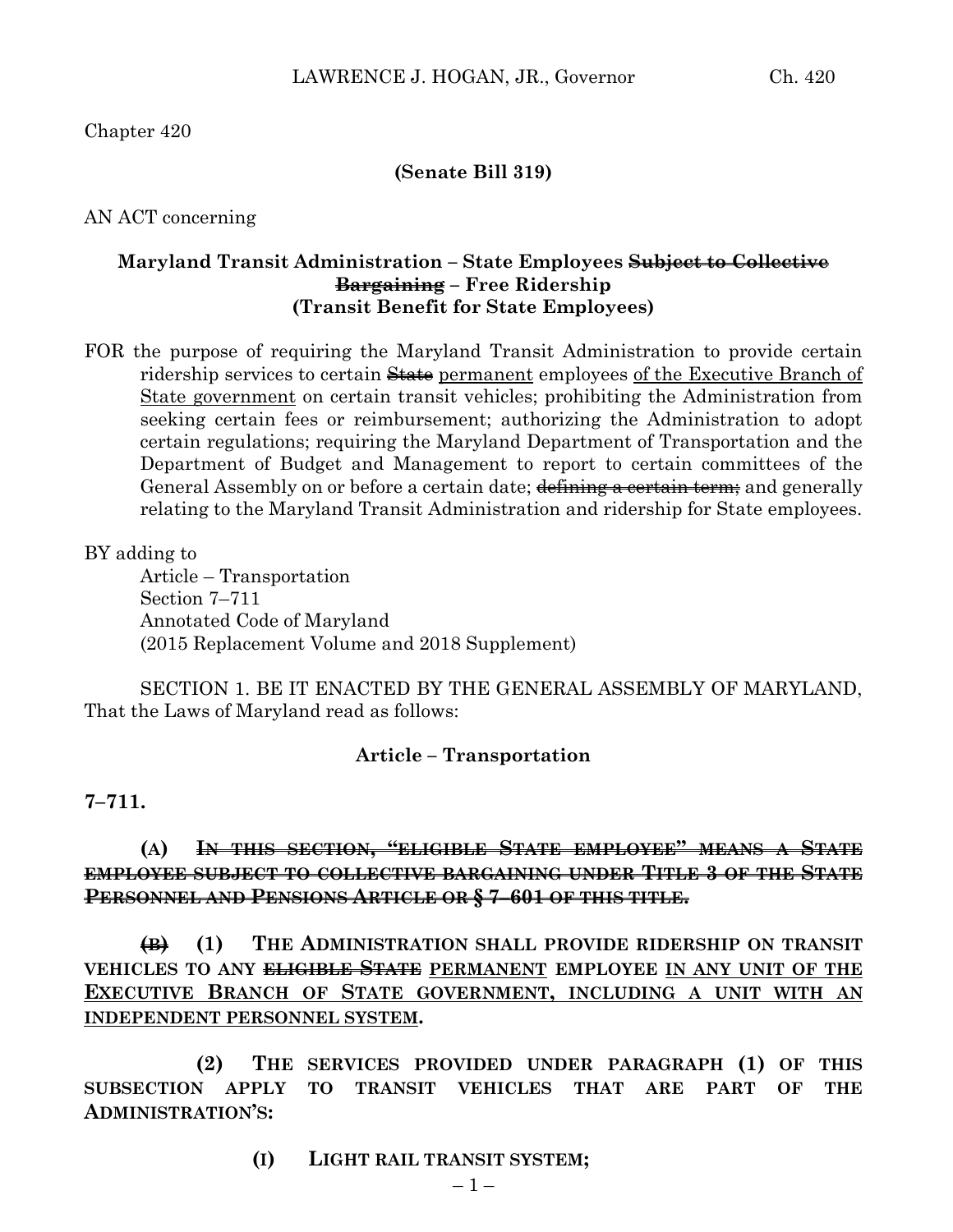Chapter 420

### **(Senate Bill 319)**

AN ACT concerning

## **Maryland Transit Administration – State Employees Subject to Collective Bargaining – Free Ridership (Transit Benefit for State Employees)**

FOR the purpose of requiring the Maryland Transit Administration to provide certain ridership services to certain State permanent employees of the Executive Branch of State government on certain transit vehicles; prohibiting the Administration from seeking certain fees or reimbursement; authorizing the Administration to adopt certain regulations; requiring the Maryland Department of Transportation and the Department of Budget and Management to report to certain committees of the General Assembly on or before a certain date; defining a certain term; and generally relating to the Maryland Transit Administration and ridership for State employees.

BY adding to

Article – Transportation Section 7–711 Annotated Code of Maryland (2015 Replacement Volume and 2018 Supplement)

SECTION 1. BE IT ENACTED BY THE GENERAL ASSEMBLY OF MARYLAND, That the Laws of Maryland read as follows:

#### **Article – Transportation**

#### **7–711.**

# **(A) IN THIS SECTION, "ELIGIBLE STATE EMPLOYEE" MEANS A STATE EMPLOYEE SUBJECT TO COLLECTIVE BARGAINING UNDER TITLE 3 OF THE STATE PERSONNEL AND PENSIONS ARTICLE OR § 7–601 OF THIS TITLE.**

**(B) (1) THE ADMINISTRATION SHALL PROVIDE RIDERSHIP ON TRANSIT VEHICLES TO ANY ELIGIBLE STATE PERMANENT EMPLOYEE IN ANY UNIT OF THE EXECUTIVE BRANCH OF STATE GOVERNMENT, INCLUDING A UNIT WITH AN INDEPENDENT PERSONNEL SYSTEM.**

**(2) THE SERVICES PROVIDED UNDER PARAGRAPH (1) OF THIS SUBSECTION APPLY TO TRANSIT VEHICLES THAT ARE PART OF THE ADMINISTRATION'S:**

**(I) LIGHT RAIL TRANSIT SYSTEM;**